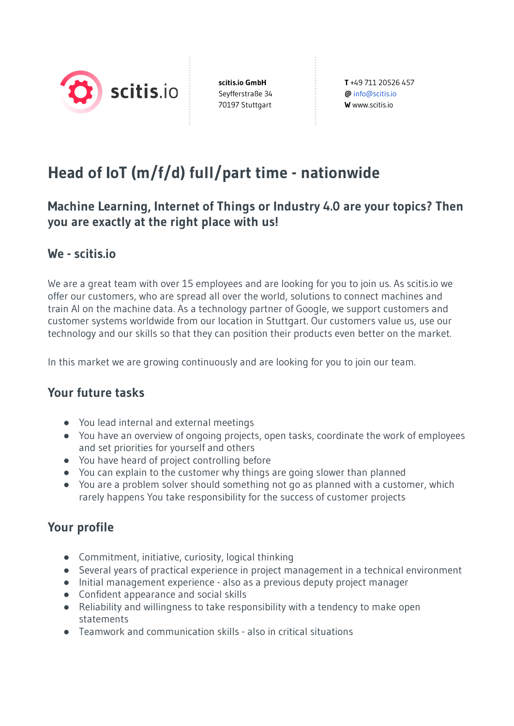

**scitis.io GmbH** Seyfferstraße 34 70197 Stuttgart

**T** +49 711 20526 457 **@** info@scitis.io **W** www.scitis.io

# **Head of IoT (m/f/d) full/part time - nationwide**

# **Machine Learning, Internet of Things or Industry 4.0 are your topics? Then you are exactly at the right place with us!**

### **We - scitis.io**

We are a great team with over 15 employees and are looking for you to join us. As scitis.io we offer our customers, who are spread all over the world, solutions to connect machines and train AI on the machine data. As a technology partner of Google, we support customers and customer systems worldwide from our location in Stuttgart. Our customers value us, use our technology and our skills so that they can position their products even better on the market.

In this market we are growing continuously and are looking for you to join our team.

# **Your future tasks**

- You lead internal and external meetings
- You have an overview of ongoing projects, open tasks, coordinate the work of employees and set priorities for yourself and others
- You have heard of project controlling before
- You can explain to the customer why things are going slower than planned
- You are a problem solver should something not go as planned with a customer, which rarely happens You take responsibility for the success of customer projects

# **Your profile**

- Commitment, initiative, curiosity, logical thinking
- Several years of practical experience in project management in a technical environment
- Initial management experience also as a previous deputy project manager
- Confident appearance and social skills
- Reliability and willingness to take responsibility with a tendency to make open statements
- Teamwork and communication skills also in critical situations